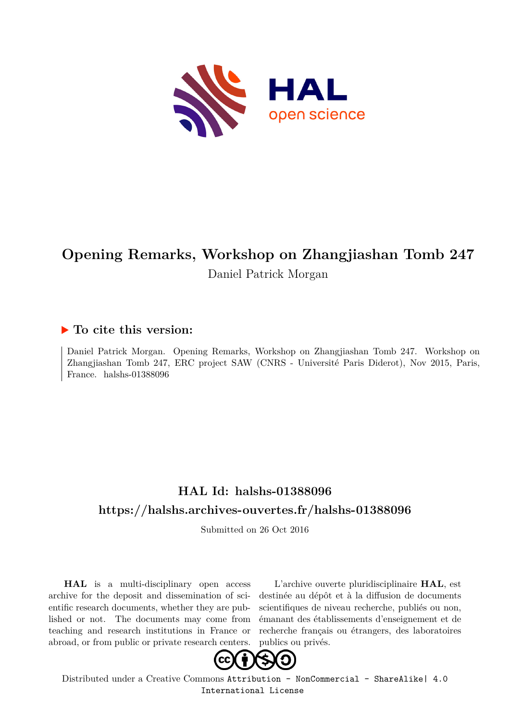

# **Opening Remarks, Workshop on Zhangjiashan Tomb 247**

Daniel Patrick Morgan

### **To cite this version:**

Daniel Patrick Morgan. Opening Remarks, Workshop on Zhangjiashan Tomb 247. Workshop on Zhangjiashan Tomb 247, ERC project SAW (CNRS - Université Paris Diderot), Nov 2015, Paris, France. halshs-01388096

## **HAL Id: halshs-01388096 <https://halshs.archives-ouvertes.fr/halshs-01388096>**

Submitted on 26 Oct 2016

**HAL** is a multi-disciplinary open access archive for the deposit and dissemination of scientific research documents, whether they are published or not. The documents may come from teaching and research institutions in France or abroad, or from public or private research centers.

L'archive ouverte pluridisciplinaire **HAL**, est destinée au dépôt et à la diffusion de documents scientifiques de niveau recherche, publiés ou non, émanant des établissements d'enseignement et de recherche français ou étrangers, des laboratoires publics ou privés.



Distributed under a Creative Commons [Attribution - NonCommercial - ShareAlike| 4.0](http://creativecommons.org/licenses/by-nc-sa/4.0/) [International License](http://creativecommons.org/licenses/by-nc-sa/4.0/)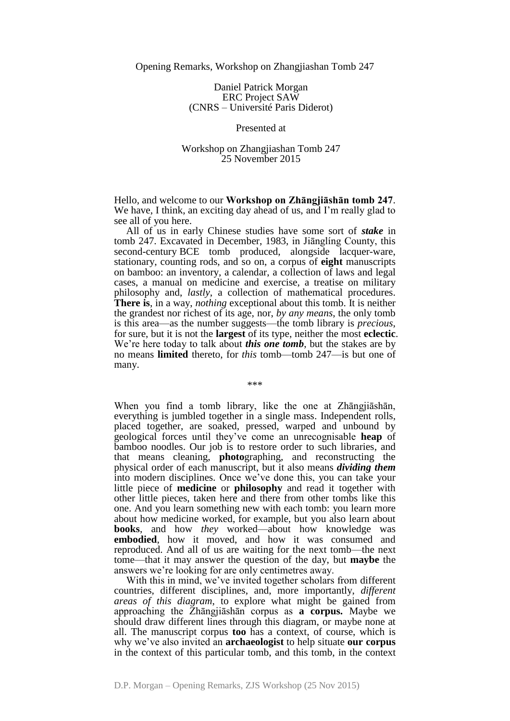Daniel Patrick Morgan ERC Project SAW (CNRS – Université Paris Diderot)

#### Presented at

### Workshop on Zhangjiashan Tomb 247 25 November 2015

Hello, and welcome to our **Workshop on Zhāngjiāshān tomb 247**. We have, I think, an exciting day ahead of us, and I'm really glad to see all of you here.

All of us in early Chinese studies have some sort of *stake* in tomb 247. Excavated in December, 1983, in Jiānglíng County, this second-century BCE tomb produced, alongside lacquer-ware, stationary, counting rods, and so on, a corpus of **eight** manuscripts on bamboo: an inventory, a calendar, a collection of laws and legal cases, a manual on medicine and exercise, a treatise on military philosophy and, *lastly*, a collection of mathematical procedures. **There is**, in a way, *nothing* exceptional about this tomb. It is neither the grandest nor richest of its age, nor, *by any means*, the only tomb is this area—as the number suggests—the tomb library is *precious*, for sure, but it is not the **largest** of its type, neither the most **eclectic**. We're here today to talk about *this one tomb*, but the stakes are by no means **limited** thereto, for *this* tomb—tomb 247—is but one of many.

\*\*\*

When you find a tomb library, like the one at Zhāngjiāshān, everything is jumbled together in a single mass. Independent rolls, placed together, are soaked, pressed, warped and unbound by geological forces until they've come an unrecognisable **heap** of bamboo noodles. Our job is to restore order to such libraries, and that means cleaning, **photo**graphing, and reconstructing the physical order of each manuscript, but it also means *dividing them* into modern disciplines. Once we've done this, you can take your little piece of **medicine** or **philosophy** and read it together with other little pieces, taken here and there from other tombs like this one. And you learn something new with each tomb: you learn more about how medicine worked, for example, but you also learn about **books**, and how *they* worked—about how knowledge was **embodied**, how it moved, and how it was consumed and reproduced. And all of us are waiting for the next tomb—the next tome—that it may answer the question of the day, but **maybe** the answers we're looking for are only centimetres away.

With this in mind, we've invited together scholars from different countries, different disciplines, and, more importantly, *different areas of this diagram*, to explore what might be gained from approaching the Zhāngjiāshān corpus as **a corpus.** Maybe we should draw different lines through this diagram, or maybe none at all. The manuscript corpus **too** has a context, of course, which is why we've also invited an **archaeologist** to help situate **our corpus** in the context of this particular tomb, and this tomb, in the context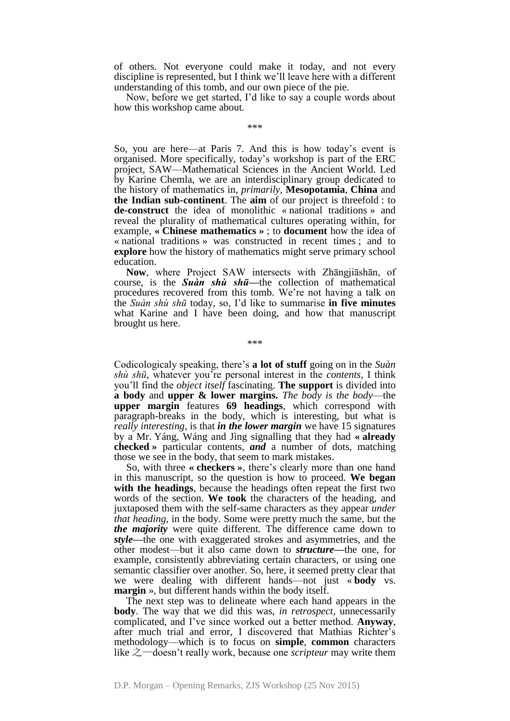of others. Not everyone could make it today, and not every discipline is represented, but I think we'll leave here with a different understanding of this tomb, and our own piece of the pie.

Now, before we get started, I'd like to say a couple words about how this workshop came about.

\*\*\*

So, you are here—at Paris 7. And this is how today's event is organised. More specifically, today's workshop is part of the ERC project, SAW—Mathematical Sciences in the Ancient World. Led by Karine Chemla, we are an interdisciplinary group dedicated to the history of mathematics in, *primarily*, **Mesopotamia**, **China** and **the Indian sub-continent**. The **aim** of our project is threefold : to **de-construct** the idea of monolithic « national traditions » and reveal the plurality of mathematical cultures operating within, for example, **« Chinese mathematics »** ; to **document** how the idea of « national traditions » was constructed in recent times ; and to **explore** how the history of mathematics might serve primary school education.

**Now**, where Project SAW intersects with Zhāngjiāshān, of course, is the *Suàn shù shū—*the collection of mathematical procedures recovered from this tomb. We're not having a talk on the *Suàn shù shū* today, so, I'd like to summarise **in five minutes** what Karine and I have been doing, and how that manuscript brought us here.

\*\*\*

Codicologicaly speaking, there's **a lot of stuff** going on in the *Suàn shù shū*, whatever you're personal interest in the *contents,* I think you'll find the *object itself* fascinating. **The support** is divided into **a body** and **upper & lower margins.** *The body is the body*—the **upper margin** features **69 headings**, which correspond with paragraph-breaks in the body, which is interesting, but what is *really interesting*, is that *in the lower margin* we have 15 signatures by a Mr. Yáng, Wáng and Jìng signalling that they had **« already checked »** particular contents, *and* a number of dots, matching those we see in the body, that seem to mark mistakes.

So, with three **« checkers »**, there's clearly more than one hand in this manuscript, so the question is how to proceed. **We began with the headings**, because the headings often repeat the first two words of the section. **We took** the characters of the heading, and juxtaposed them with the self-same characters as they appear *under that heading,* in the body. Some were pretty much the same, but the *the majority* were quite different. The difference came down to *style—*the one with exaggerated strokes and asymmetries, and the other modest—but it also came down to *structure—*the one, for example, consistently abbreviating certain characters, or using one semantic classifier over another. So, here, it seemed pretty clear that we were dealing with different hands—not just « **body** vs. **margin** », but different hands within the body itself.

The next step was to delineate where each hand appears in the **body**. The way that we did this was, *in retrospect*, unnecessarily complicated, and I've since worked out a better method. **Anyway**, after much trial and error, I discovered that Mathias Richter's methodology—which is to focus on **simple**, **common** characters like 之—doesn't really work, because one *scripteur* may write them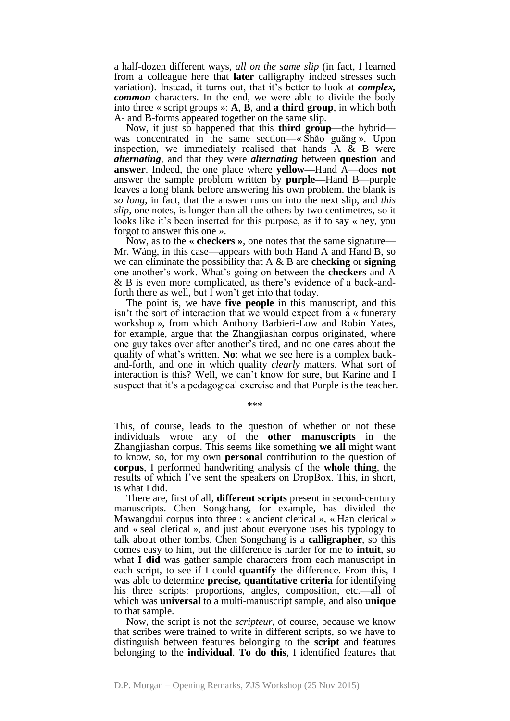a half-dozen different ways, *all on the same slip* (in fact, I learned from a colleague here that **later** calligraphy indeed stresses such variation). Instead, it turns out, that it's better to look at *complex, common* characters. In the end, we were able to divide the body into three « script groups »: **A**, **B**, and **a third group**, in which both A- and B-forms appeared together on the same slip.

Now, it just so happened that this **third group—**the hybrid was concentrated in the same section—« Shǎo guǎng ». Upon inspection, we immediately realised that hands  $A \& B$  were *alternating*, and that they were *alternating* between **question** and **answer**. Indeed, the one place where **yellow—**Hand A—does **not** answer the sample problem written by **purple—**Hand B—purple leaves a long blank before answering his own problem. the blank is *so long*, in fact, that the answer runs on into the next slip, and *this slip*, one notes, is longer than all the others by two centimetres, so it looks like it's been inserted for this purpose, as if to say « hey, you forgot to answer this one ».

Now, as to the **« checkers »**, one notes that the same signature— Mr. Wáng, in this case—appears with both Hand A and Hand B, so we can eliminate the possibility that A & B are **checking** or **signing** one another's work. What's going on between the **checkers** and A & B is even more complicated, as there's evidence of a back-andforth there as well, but I won't get into that today.

The point is, we have **five people** in this manuscript, and this isn't the sort of interaction that we would expect from a « funerary workshop », from which Anthony Barbieri-Low and Robin Yates, for example, argue that the Zhangjiashan corpus originated, where one guy takes over after another's tired, and no one cares about the quality of what's written. **No**: what we see here is a complex backand-forth, and one in which quality *clearly* matters. What sort of interaction is this? Well, we can't know for sure, but Karine and I suspect that it's a pedagogical exercise and that Purple is the teacher.

\*\*\*

This, of course, leads to the question of whether or not these individuals wrote any of the **other manuscripts** in the Zhangjiashan corpus. This seems like something **we all** might want to know, so, for my own **personal** contribution to the question of **corpus**, I performed handwriting analysis of the **whole thing**, the results of which I've sent the speakers on DropBox. This, in short, is what I did.

There are, first of all, **different scripts** present in second-century manuscripts. Chen Songchang, for example, has divided the Mawangdui corpus into three : « ancient clerical », « Han clerical » and « seal clerical », and just about everyone uses his typology to talk about other tombs. Chen Songchang is a **calligrapher**, so this comes easy to him, but the difference is harder for me to **intuit**, so what **I did** was gather sample characters from each manuscript in each script, to see if I could **quantify** the difference. From this, I was able to determine **precise, quantitative criteria** for identifying his three scripts: proportions, angles, composition, etc.—all of which was **universal** to a multi-manuscript sample, and also **unique** to that sample.

Now, the script is not the *scripteur*, of course, because we know that scribes were trained to write in different scripts, so we have to distinguish between features belonging to the **script** and features belonging to the **individual**. **To do this**, I identified features that